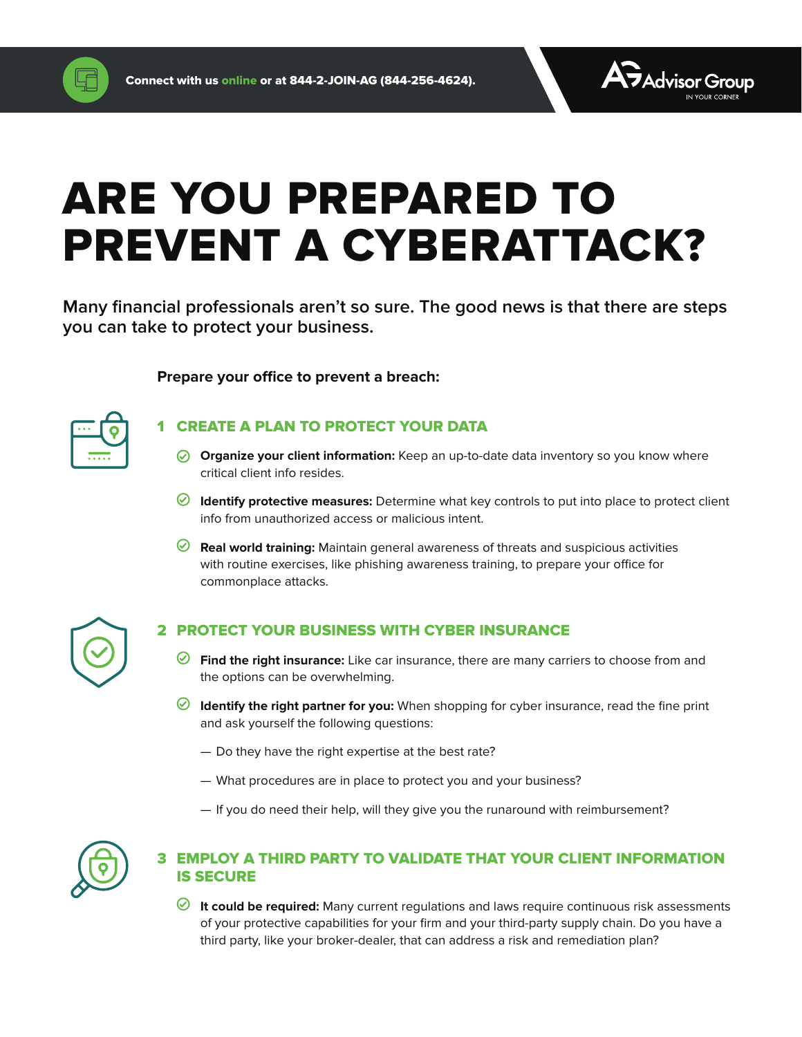

# ARE YOU PREPARED TO PREVENT A CYBERATTACK?

**Many financial professionals aren't so sure. The good news is that there are steps you can take to protect your business.** 

#### **Prepare your office to prevent a breach:**



# **CREATE A PLAN TO PROTECT YOUR DATA**

- **Organize your client information:** Keep an up-to-date data inventory so you know where critical client info resides.
- **Identify protective measures:** Determine what key controls to put into place to protect client info from unauthorized access or malicious intent.
- **Real world training:** Maintain general awareness of threats and suspicious activities with routine exercises, like phishing awareness training, to prepare your office for commonplace attacks.



## 2 PROTECT YOUR BUSINESS WITH CYBER INSURANCE

- **Find the right insurance:** Like car insurance, there are many carriers to choose from and the options can be overwhelming.
- **Identify the right partner for you:** When shopping for cyber insurance, read the fine print and ask yourself the following questions:
	- Do they have the right expertise at the best rate?
	- What procedures are in place to protect you and your business?
	- If you do need their help, will they give you the runaround with reimbursement?



# 3 EMPLOY A THIRD PARTY TO VALIDATE THAT YOUR CLIENT INFORMATION IS SECURE

*◯* **It could be required:** Many current regulations and laws require continuous risk assessments of your protective capabilities for your firm and your third-party supply chain. Do you have a third party, like your broker-dealer, that can address a risk and remediation plan?